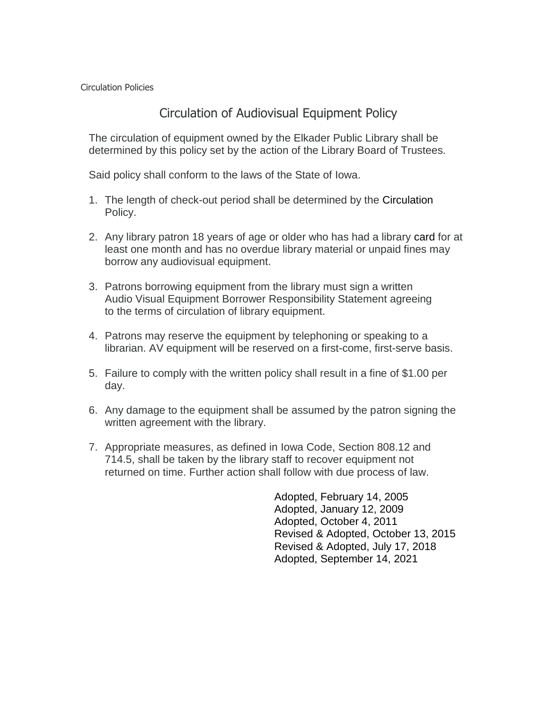Circulation Policies

## Circulation of Audiovisual Equipment Policy

The circulation of equipment owned by the Elkader Public Library shall be determined by this policy set by the action of the Library Board of Trustees.

Said policy shall conform to the laws of the State of Iowa.

- 1. The length of check-out period shall be determined by the Circulation Policy.
- 2. Any library patron 18 years of age or older who has had a library card for at least one month and has no overdue library material or unpaid fines may borrow any audiovisual equipment.
- 3. Patrons borrowing equipment from the library must sign a written Audio Visual Equipment Borrower Responsibility Statement agreeing to the terms of circulation of library equipment.
- 4. Patrons may reserve the equipment by telephoning or speaking to a librarian. AV equipment will be reserved on a first-come, first-serve basis.
- 5. Failure to comply with the written policy shall result in a fine of \$1.00 per day.
- 6. Any damage to the equipment shall be assumed by the patron signing the written agreement with the library.
- 7. Appropriate measures, as defined in Iowa Code, Section 808.12 and 714.5, shall be taken by the library staff to recover equipment not returned on time. Further action shall follow with due process of law.

Adopted, February 14, 2005 Adopted, January 12, 2009 Adopted, October 4, 2011 Revised & Adopted, October 13, 2015 Revised & Adopted, July 17, 2018 Adopted, September 14, 2021